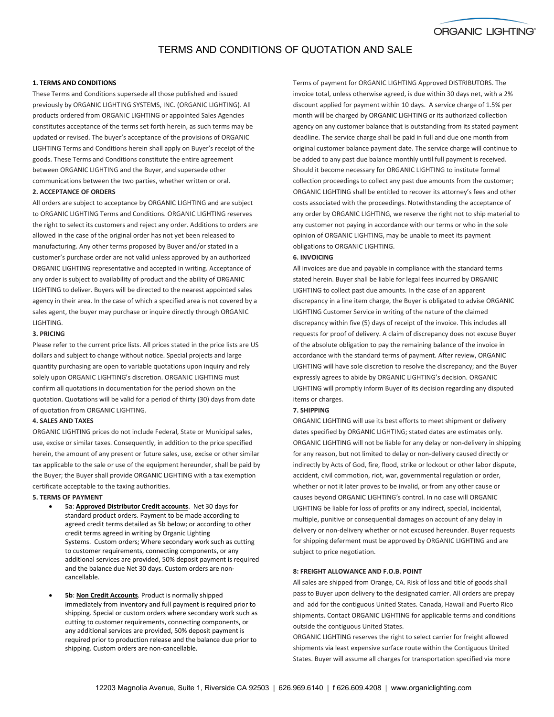

## TERMS AND CONDITIONS OF QUOTATION AND SALE

### **1. TERMS AND CONDITIONS**

These Terms and Conditions supersede all those published and issued previously by ORGANIC LIGHTING SYSTEMS, INC. (ORGANIC LIGHTING). All products ordered from ORGANIC LIGHTING or appointed Sales Agencies constitutes acceptance of the terms set forth herein, as such terms may be updated or revised. The buyer's acceptance of the provisions of ORGANIC LIGHTING Terms and Conditions herein shall apply on Buyer's receipt of the goods. These Terms and Conditions constitute the entire agreement between ORGANIC LIGHTING and the Buyer, and supersede other communications between the two parties, whether written or oral.

## **2. ACCEPTANCE OF ORDERS**

All orders are subject to acceptance by ORGANIC LIGHTING and are subject to ORGANIC LIGHTING Terms and Conditions. ORGANIC LIGHTING reserves the right to select its customers and reject any order. Additions to orders are allowed in the case of the original order has not yet been released to manufacturing. Any other terms proposed by Buyer and/or stated in a customer's purchase order are not valid unless approved by an authorized ORGANIC LIGHTING representative and accepted in writing. Acceptance of any order is subject to availability of product and the ability of ORGANIC LIGHTING to deliver. Buyers will be directed to the nearest appointed sales agency in their area. In the case of which a specified area is not covered by a sales agent, the buyer may purchase or inquire directly through ORGANIC LIGHTING.

### **3. PRICING**

Please refer to the current price lists. All prices stated in the price lists are US dollars and subject to change without notice. Special projects and large quantity purchasing are open to variable quotations upon inquiry and rely solely upon ORGANIC LIGHTING's discretion. ORGANIC LIGHTING must confirm all quotations in documentation for the period shown on the quotation. Quotations will be valid for a period of thirty (30) days from date of quotation from ORGANIC LIGHTING.

### **4. SALES AND TAXES**

ORGANIC LIGHTING prices do not include Federal, State or Municipal sales, use, excise or similar taxes. Consequently, in addition to the price specified herein, the amount of any present or future sales, use, excise or other similar tax applicable to the sale or use of the equipment hereunder, shall be paid by the Buyer; the Buyer shall provide ORGANIC LIGHTING with a tax exemption certificate acceptable to the taxing authorities.

### **5. TERMS OF PAYMENT**

- **5a**: **Approved Distributor Credit accounts**. Net 30 days for standard product orders. Payment to be made according to agreed credit terms detailed as 5b below; or according to other credit terms agreed in writing by Organic Lighting Systems. Custom orders; Where secondary work such as cutting to customer requirements, connecting components, or any additional services are provided, 50% deposit payment is required and the balance due Net 30 days. Custom orders are noncancellable.
- **5b**: **Non Credit Accounts**. Product is normally shipped immediately from inventory and full payment is required prior to shipping. Special or custom orders where secondary work such as cutting to customer requirements, connecting components, or any additional services are provided, 50% deposit payment is required prior to production release and the balance due prior to shipping. Custom orders are non-cancellable.

Terms of payment for ORGANIC LIGHTING Approved DISTRIBUTORS. The invoice total, unless otherwise agreed, is due within 30 days net, with a 2% discount applied for payment within 10 days. A service charge of 1.5% per month will be charged by ORGANIC LIGHTING or its authorized collection agency on any customer balance that is outstanding from its stated payment deadline. The service charge shall be paid in full and due one month from original customer balance payment date. The service charge will continue to be added to any past due balance monthly until full payment is received. Should it become necessary for ORGANIC LIGHTING to institute formal collection proceedings to collect any past due amounts from the customer; ORGANIC LIGHTING shall be entitled to recover its attorney's fees and other costs associated with the proceedings. Notwithstanding the acceptance of any order by ORGANIC LIGHTING, we reserve the right not to ship material to any customer not paying in accordance with our terms or who in the sole opinion of ORGANIC LIGHTING, may be unable to meet its payment obligations to ORGANIC LIGHTING.

#### **6. INVOICING**

All invoices are due and payable in compliance with the standard terms stated herein. Buyer shall be liable for legal fees incurred by ORGANIC LIGHTING to collect past due amounts. In the case of an apparent discrepancy in a line item charge, the Buyer is obligated to advise ORGANIC LIGHTING Customer Service in writing of the nature of the claimed discrepancy within five (5) days of receipt of the invoice. This includes all requests for proof of delivery. A claim of discrepancy does not excuse Buyer of the absolute obligation to pay the remaining balance of the invoice in accordance with the standard terms of payment. After review, ORGANIC LIGHTING will have sole discretion to resolve the discrepancy; and the Buyer expressly agrees to abide by ORGANIC LIGHTING's decision. ORGANIC LIGHTING will promptly inform Buyer of its decision regarding any disputed items or charges.

#### **7. SHIPPING**

ORGANIC LIGHTING will use its best efforts to meet shipment or delivery dates specified by ORGANIC LIGHTING; stated dates are estimates only. ORGANIC LIGHTING will not be liable for any delay or non-delivery in shipping for any reason, but not limited to delay or non-delivery caused directly or indirectly by Acts of God, fire, flood, strike or lockout or other labor dispute, accident, civil commotion, riot, war, governmental regulation or order, whether or not it later proves to be invalid, or from any other cause or causes beyond ORGANIC LIGHTING's control. In no case will ORGANIC LIGHTING be liable for loss of profits or any indirect, special, incidental, multiple, punitive or consequential damages on account of any delay in delivery or non-delivery whether or not excused hereunder. Buyer requests for shipping deferment must be approved by ORGANIC LIGHTING and are subject to price negotiation.

### **8: FREIGHT ALLOWANCE AND F.O.B. POINT**

All sales are shipped from Orange, CA. Risk of loss and title of goods shall pass to Buyer upon delivery to the designated carrier. All orders are prepay and add for the contiguous United States. Canada, Hawaii and Puerto Rico shipments. Contact ORGANIC LIGHTING for applicable terms and conditions outside the contiguous United States.

ORGANIC LIGHTING reserves the right to select carrier for freight allowed shipments via least expensive surface route within the Contiguous United States. Buyer will assume all charges for transportation specified via more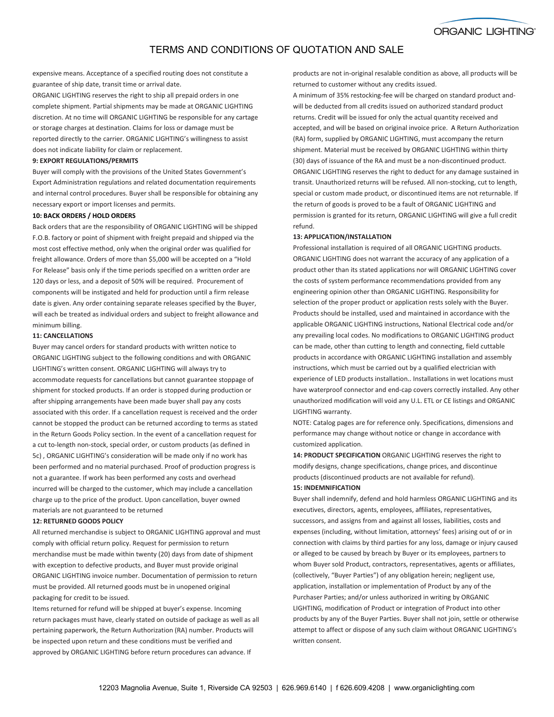**ORGANIC LIGHTING®** 

# TERMS AND CONDITIONS OF QUOTATION AND SALE

expensive means. Acceptance of a specified routing does not constitute a guarantee of ship date, transit time or arrival date.

ORGANIC LIGHTING reserves the right to ship all prepaid orders in one complete shipment. Partial shipments may be made at ORGANIC LIGHTING discretion. At no time will ORGANIC LIGHTING be responsible for any cartage or storage charges at destination. Claims for loss or damage must be reported directly to the carrier. ORGANIC LIGHTING's willingness to assist does not indicate liability for claim or replacement.

### **9: EXPORT REGULATIONS/PERMITS**

Buyer will comply with the provisions of the United States Government's Export Administration regulations and related documentation requirements and internal control procedures. Buyer shall be responsible for obtaining any necessary export or import licenses and permits.

## **10: BACK ORDERS / HOLD ORDERS**

Back orders that are the responsibility of ORGANIC LIGHTING will be shipped F.O.B. factory or point of shipment with freight prepaid and shipped via the most cost effective method, only when the original order was qualified for freight allowance. Orders of more than \$5,000 will be accepted on a "Hold For Release" basis only if the time periods specified on a written order are 120 days or less, and a deposit of 50% will be required. Procurement of components will be instigated and held for production until a firm release date is given. Any order containing separate releases specified by the Buyer, will each be treated as individual orders and subject to freight allowance and minimum billing.

## **11: CANCELLATIONS**

Buyer may cancel orders for standard products with written notice to ORGANIC LIGHTING subject to the following conditions and with ORGANIC LIGHTING's written consent. ORGANIC LIGHTING will always try to accommodate requests for cancellations but cannot guarantee stoppage of shipment for stocked products. If an order is stopped during production or after shipping arrangements have been made buyer shall pay any costs associated with this order. If a cancellation request is received and the order cannot be stopped the product can be returned according to terms as stated in the Return Goods Policy section. In the event of a cancellation request for a cut to-length non-stock, special order, or custom products (as defined in 5c) , ORGANIC LIGHTING's consideration will be made only if no work has been performed and no material purchased. Proof of production progress is not a guarantee. If work has been performed any costs and overhead incurred will be charged to the customer, which may include a cancellation charge up to the price of the product. Upon cancellation, buyer owned materials are not guaranteed to be returned

### **12: RETURNED GOODS POLICY**

All returned merchandise is subject to ORGANIC LIGHTING approval and must comply with official return policy. Request for permission to return merchandise must be made within twenty (20) days from date of shipment with exception to defective products, and Buyer must provide original ORGANIC LIGHTING invoice number. Documentation of permission to return must be provided. All returned goods must be in unopened original packaging for credit to be issued.

Items returned for refund will be shipped at buyer's expense. Incoming return packages must have, clearly stated on outside of package as well as all pertaining paperwork, the Return Authorization (RA) number. Products will be inspected upon return and these conditions must be verified and approved by ORGANIC LIGHTING before return procedures can advance. If

products are not in-original resalable condition as above, all products will be returned to customer without any credits issued.

A minimum of 35% restocking-fee will be charged on standard product andwill be deducted from all credits issued on authorized standard product returns. Credit will be issued for only the actual quantity received and accepted, and will be based on original invoice price. A Return Authorization (RA) form, supplied by ORGANIC LIGHTING, must accompany the return shipment. Material must be received by ORGANIC LIGHTING within thirty (30) days of issuance of the RA and must be a non-discontinued product. ORGANIC LIGHTING reserves the right to deduct for any damage sustained in transit. Unauthorized returns will be refused. All non-stocking, cut to length, special or custom made product, or discontinued items are not returnable. If the return of goods is proved to be a fault of ORGANIC LIGHTING and permission is granted for its return, ORGANIC LIGHTING will give a full credit refund.

### **13: APPLICATION/INSTALLATION**

Professional installation is required of all ORGANIC LIGHTING products. ORGANIC LIGHTING does not warrant the accuracy of any application of a product other than its stated applications nor will ORGANIC LIGHTING cover the costs of system performance recommendations provided from any engineering opinion other than ORGANIC LIGHTING. Responsibility for selection of the proper product or application rests solely with the Buyer. Products should be installed, used and maintained in accordance with the applicable ORGANIC LIGHTING instructions, National Electrical code and/or any prevailing local codes. No modifications to ORGANIC LIGHTING product can be made, other than cutting to length and connecting, field cuttable products in accordance with ORGANIC LIGHTING installation and assembly instructions, which must be carried out by a qualified electrician with experience of LED products installation.. Installations in wet locations must have waterproof connector and end-cap covers correctly installed. Any other unauthorized modification will void any U.L. ETL or CE listings and ORGANIC LIGHTING warranty.

NOTE: Catalog pages are for reference only. Specifications, dimensions and performance may change without notice or change in accordance with customized application.

**14: PRODUCT SPECIFICATION** ORGANIC LIGHTING reserves the right to modify designs, change specifications, change prices, and discontinue products (discontinued products are not available for refund). **15: INDEMNIFICATION**

Buyer shall indemnify, defend and hold harmless ORGANIC LIGHTING and its executives, directors, agents, employees, affiliates, representatives, successors, and assigns from and against all losses, liabilities, costs and expenses (including, without limitation, attorneys' fees) arising out of or in connection with claims by third parties for any loss, damage or injury caused or alleged to be caused by breach by Buyer or its employees, partners to whom Buyer sold Product, contractors, representatives, agents or affiliates, (collectively, "Buyer Parties") of any obligation herein; negligent use, application, installation or implementation of Product by any of the Purchaser Parties; and/or unless authorized in writing by ORGANIC LIGHTING, modification of Product or integration of Product into other products by any of the Buyer Parties. Buyer shall not join, settle or otherwise attempt to affect or dispose of any such claim without ORGANIC LIGHTING's written consent.